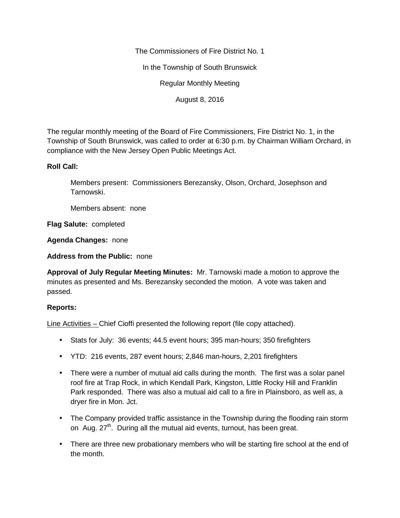The Commissioners of Fire District No. 1

In the Township of South Brunswick

Regular Monthly Meeting

August 8, 2016

The regular monthly meeting of the Board of Fire Commissioners, Fire District No. 1, in the Township of South Brunswick, was called to order at 6:30 p.m. by Chairman William Orchard, in compliance with the New Jersey Open Public Meetings Act.

## **Roll Call:**

Members present: Commissioners Berezansky, Olson, Orchard, Josephson and Tarnowski.

Members absent: none

**Flag Salute:** completed

**Agenda Changes:** none

**Address from the Public:** none

**Approval of July Regular Meeting Minutes:** Mr. Tarnowski made a motion to approve the minutes as presented and Ms. Berezansky seconded the motion. A vote was taken and passed.

## **Reports:**

Line Activities – Chief Cioffi presented the following report (file copy attached).

- Stats for July: 36 events; 44.5 event hours; 395 man-hours; 350 firefighters
- YTD: 216 events, 287 event hours; 2,846 man-hours, 2,201 firefighters
- There were a number of mutual aid calls during the month. The first was a solar panel roof fire at Trap Rock, in which Kendall Park, Kingston, Little Rocky Hill and Franklin Park responded. There was also a mutual aid call to a fire in Plainsboro, as well as, a dryer fire in Mon. Jct.
- The Company provided traffic assistance in the Township during the flooding rain storm on Aug.  $27<sup>th</sup>$ . During all the mutual aid events, turnout, has been great.
- There are three new probationary members who will be starting fire school at the end of the month.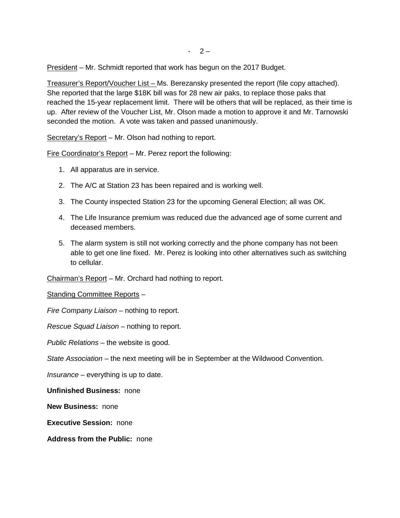President – Mr. Schmidt reported that work has begun on the 2017 Budget.

Treasurer's Report/Voucher List – Ms. Berezansky presented the report (file copy attached). She reported that the large \$18K bill was for 28 new air paks, to replace those paks that reached the 15-year replacement limit. There will be others that will be replaced, as their time is up. After review of the Voucher List, Mr. Olson made a motion to approve it and Mr. Tarnowski seconded the motion. A vote was taken and passed unanimously.

Secretary's Report – Mr. Olson had nothing to report.

Fire Coordinator's Report – Mr. Perez report the following:

- 1. All apparatus are in service.
- 2. The A/C at Station 23 has been repaired and is working well.
- 3. The County inspected Station 23 for the upcoming General Election; all was OK.
- 4. The Life Insurance premium was reduced due the advanced age of some current and deceased members.
- 5. The alarm system is still not working correctly and the phone company has not been able to get one line fixed. Mr. Perez is looking into other alternatives such as switching to cellular.

Chairman's Report – Mr. Orchard had nothing to report.

Standing Committee Reports –

*Fire Company Liaison –* nothing to report.

*Rescue Squad Liaison –* nothing to report.

*Public Relations –* the website is good.

*State Association –* the next meeting will be in September at the Wildwood Convention.

*Insurance –* everything is up to date.

**Unfinished Business:** none

**New Business:** none

**Executive Session:** none

**Address from the Public:** none